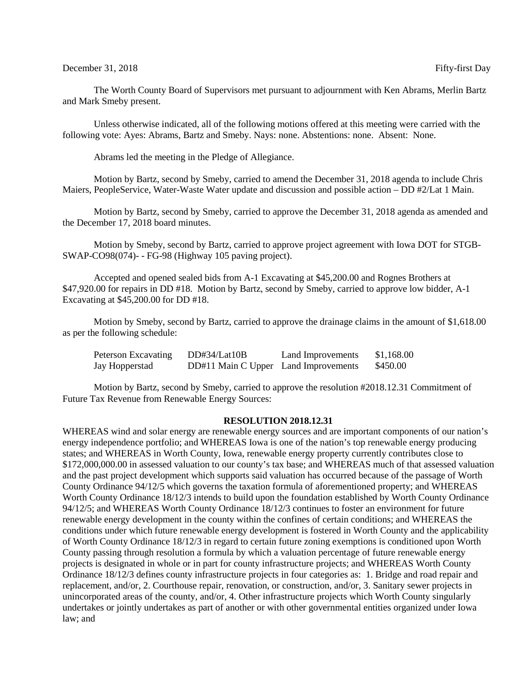## December 31, 2018 Fifty-first Day

The Worth County Board of Supervisors met pursuant to adjournment with Ken Abrams, Merlin Bartz and Mark Smeby present.

Unless otherwise indicated, all of the following motions offered at this meeting were carried with the following vote: Ayes: Abrams, Bartz and Smeby. Nays: none. Abstentions: none. Absent: None.

Abrams led the meeting in the Pledge of Allegiance.

Motion by Bartz, second by Smeby, carried to amend the December 31, 2018 agenda to include Chris Maiers, PeopleService, Water-Waste Water update and discussion and possible action – DD #2/Lat 1 Main.

Motion by Bartz, second by Smeby, carried to approve the December 31, 2018 agenda as amended and the December 17, 2018 board minutes.

Motion by Smeby, second by Bartz, carried to approve project agreement with Iowa DOT for STGB-SWAP-CO98(074)- - FG-98 (Highway 105 paving project).

Accepted and opened sealed bids from A-1 Excavating at \$45,200.00 and Rognes Brothers at \$47,920.00 for repairs in DD #18. Motion by Bartz, second by Smeby, carried to approve low bidder, A-1 Excavating at \$45,200.00 for DD #18.

Motion by Smeby, second by Bartz, carried to approve the drainage claims in the amount of \$1,618.00 as per the following schedule:

| Peterson Excavating | DD#34/Lat10B                         | Land Improvements | \$1,168.00 |
|---------------------|--------------------------------------|-------------------|------------|
| Jay Hopperstad      | DD#11 Main C Upper Land Improvements |                   | \$450.00   |

Motion by Bartz, second by Smeby, carried to approve the resolution #2018.12.31 Commitment of Future Tax Revenue from Renewable Energy Sources:

## **RESOLUTION 2018.12.31**

WHEREAS wind and solar energy are renewable energy sources and are important components of our nation's energy independence portfolio; and WHEREAS Iowa is one of the nation's top renewable energy producing states; and WHEREAS in Worth County, Iowa, renewable energy property currently contributes close to \$172,000,000.00 in assessed valuation to our county's tax base; and WHEREAS much of that assessed valuation and the past project development which supports said valuation has occurred because of the passage of Worth County Ordinance 94/12/5 which governs the taxation formula of aforementioned property; and WHEREAS Worth County Ordinance 18/12/3 intends to build upon the foundation established by Worth County Ordinance 94/12/5; and WHEREAS Worth County Ordinance 18/12/3 continues to foster an environment for future renewable energy development in the county within the confines of certain conditions; and WHEREAS the conditions under which future renewable energy development is fostered in Worth County and the applicability of Worth County Ordinance 18/12/3 in regard to certain future zoning exemptions is conditioned upon Worth County passing through resolution a formula by which a valuation percentage of future renewable energy projects is designated in whole or in part for county infrastructure projects; and WHEREAS Worth County Ordinance 18/12/3 defines county infrastructure projects in four categories as: 1. Bridge and road repair and replacement, and/or, 2. Courthouse repair, renovation, or construction, and/or, 3. Sanitary sewer projects in unincorporated areas of the county, and/or, 4. Other infrastructure projects which Worth County singularly undertakes or jointly undertakes as part of another or with other governmental entities organized under Iowa law; and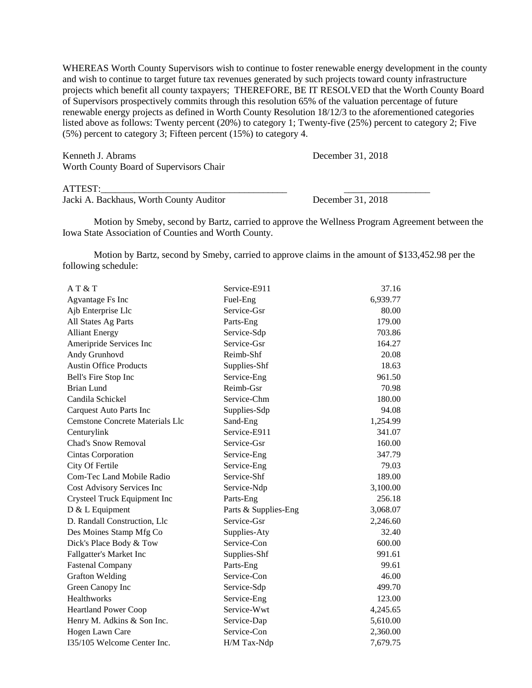WHEREAS Worth County Supervisors wish to continue to foster renewable energy development in the county and wish to continue to target future tax revenues generated by such projects toward county infrastructure projects which benefit all county taxpayers; THEREFORE, BE IT RESOLVED that the Worth County Board of Supervisors prospectively commits through this resolution 65% of the valuation percentage of future renewable energy projects as defined in Worth County Resolution 18/12/3 to the aforementioned categories listed above as follows: Twenty percent (20%) to category 1; Twenty-five (25%) percent to category 2; Five (5%) percent to category 3; Fifteen percent (15%) to category 4.

Kenneth J. Abrams December 31, 2018 Worth County Board of Supervisors Chair

## ATTEST:

Jacki A. Backhaus, Worth County Auditor December 31, 2018

Motion by Smeby, second by Bartz, carried to approve the Wellness Program Agreement between the Iowa State Association of Counties and Worth County.

Motion by Bartz, second by Smeby, carried to approve claims in the amount of \$133,452.98 per the following schedule:

| AT & T                          | Service-E911         | 37.16    |
|---------------------------------|----------------------|----------|
| Agvantage Fs Inc                | Fuel-Eng             | 6,939.77 |
| Ajb Enterprise Llc              | Service-Gsr          | 80.00    |
| All States Ag Parts             | Parts-Eng            | 179.00   |
| <b>Alliant Energy</b>           | Service-Sdp          | 703.86   |
| Ameripride Services Inc         | Service-Gsr          | 164.27   |
| Andy Grunhovd                   | Reimb-Shf            | 20.08    |
| <b>Austin Office Products</b>   | Supplies-Shf         | 18.63    |
| Bell's Fire Stop Inc            | Service-Eng          | 961.50   |
| <b>Brian Lund</b>               | Reimb-Gsr            | 70.98    |
| Candila Schickel                | Service-Chm          | 180.00   |
| <b>Carquest Auto Parts Inc</b>  | Supplies-Sdp         | 94.08    |
| Cemstone Concrete Materials Llc | Sand-Eng             | 1,254.99 |
| Centurylink                     | Service-E911         | 341.07   |
| <b>Chad's Snow Removal</b>      | Service-Gsr          | 160.00   |
| Cintas Corporation              | Service-Eng          | 347.79   |
| City Of Fertile                 | Service-Eng          | 79.03    |
| Com-Tec Land Mobile Radio       | Service-Shf          | 189.00   |
| Cost Advisory Services Inc      | Service-Ndp          | 3,100.00 |
| Crysteel Truck Equipment Inc    | Parts-Eng            | 256.18   |
| D & L Equipment                 | Parts & Supplies-Eng | 3,068.07 |
| D. Randall Construction, Llc    | Service-Gsr          | 2,246.60 |
| Des Moines Stamp Mfg Co         | Supplies-Aty         | 32.40    |
| Dick's Place Body & Tow         | Service-Con          | 600.00   |
| Fallgatter's Market Inc         | Supplies-Shf         | 991.61   |
| <b>Fastenal Company</b>         | Parts-Eng            | 99.61    |
| <b>Grafton Welding</b>          | Service-Con          | 46.00    |
| Green Canopy Inc                | Service-Sdp          | 499.70   |
| Healthworks                     | Service-Eng          | 123.00   |
| <b>Heartland Power Coop</b>     | Service-Wwt          | 4,245.65 |
| Henry M. Adkins & Son Inc.      | Service-Dap          | 5,610.00 |
| Hogen Lawn Care                 | Service-Con          | 2,360.00 |
| I35/105 Welcome Center Inc.     | H/M Tax-Ndp          | 7,679.75 |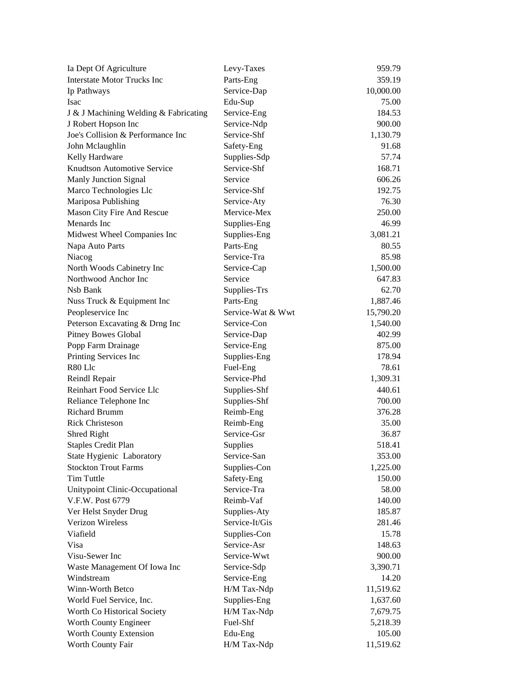| Ia Dept Of Agriculture                | Levy-Taxes        | 959.79    |
|---------------------------------------|-------------------|-----------|
| <b>Interstate Motor Trucks Inc</b>    | Parts-Eng         | 359.19    |
| Ip Pathways                           | Service-Dap       | 10,000.00 |
| Isac                                  | Edu-Sup           | 75.00     |
| J & J Machining Welding & Fabricating | Service-Eng       | 184.53    |
| J Robert Hopson Inc                   | Service-Ndp       | 900.00    |
| Joe's Collision & Performance Inc     | Service-Shf       | 1,130.79  |
| John Mclaughlin                       | Safety-Eng        | 91.68     |
| Kelly Hardware                        | Supplies-Sdp      | 57.74     |
| Knudtson Automotive Service           | Service-Shf       | 168.71    |
| Manly Junction Signal                 | Service           | 606.26    |
| Marco Technologies Llc                | Service-Shf       | 192.75    |
| Mariposa Publishing                   | Service-Aty       | 76.30     |
| Mason City Fire And Rescue            | Mervice-Mex       | 250.00    |
| Menards Inc                           | Supplies-Eng      | 46.99     |
| Midwest Wheel Companies Inc           | Supplies-Eng      | 3,081.21  |
| Napa Auto Parts                       | Parts-Eng         | 80.55     |
| Niacog                                | Service-Tra       | 85.98     |
| North Woods Cabinetry Inc             | Service-Cap       | 1,500.00  |
| Northwood Anchor Inc                  | Service           | 647.83    |
| Nsb Bank                              | Supplies-Trs      | 62.70     |
| Nuss Truck & Equipment Inc            | Parts-Eng         | 1,887.46  |
| Peopleservice Inc                     | Service-Wat & Wwt | 15,790.20 |
| Peterson Excavating & Drng Inc        | Service-Con       | 1,540.00  |
| <b>Pitney Bowes Global</b>            | Service-Dap       | 402.99    |
| Popp Farm Drainage                    | Service-Eng       | 875.00    |
| Printing Services Inc                 | Supplies-Eng      | 178.94    |
| R80 Llc                               | Fuel-Eng          | 78.61     |
| Reindl Repair                         | Service-Phd       | 1,309.31  |
| Reinhart Food Service Llc             | Supplies-Shf      | 440.61    |
| Reliance Telephone Inc                | Supplies-Shf      | 700.00    |
| <b>Richard Brumm</b>                  | Reimb-Eng         | 376.28    |
| <b>Rick Christeson</b>                | Reimb-Eng         | 35.00     |
| Shred Right                           | Service-Gsr       | 36.87     |
| <b>Staples Credit Plan</b>            | Supplies          | 518.41    |
| State Hygienic Laboratory             | Service-San       | 353.00    |
| <b>Stockton Trout Farms</b>           | Supplies-Con      | 1,225.00  |
| <b>Tim Tuttle</b>                     | Safety-Eng        | 150.00    |
| Unitypoint Clinic-Occupational        | Service-Tra       | 58.00     |
| V.F.W. Post 6779                      | Reimb-Vaf         | 140.00    |
| Ver Helst Snyder Drug                 | Supplies-Aty      | 185.87    |
| Verizon Wireless                      | Service-It/Gis    | 281.46    |
| Viafield                              | Supplies-Con      | 15.78     |
| Visa                                  | Service-Asr       | 148.63    |
| Visu-Sewer Inc                        | Service-Wwt       | 900.00    |
| Waste Management Of Iowa Inc          | Service-Sdp       | 3,390.71  |
| Windstream                            | Service-Eng       | 14.20     |
| Winn-Worth Betco                      | H/M Tax-Ndp       | 11,519.62 |
| World Fuel Service, Inc.              | Supplies-Eng      | 1,637.60  |
| Worth Co Historical Society           | H/M Tax-Ndp       | 7,679.75  |
| Worth County Engineer                 | Fuel-Shf          | 5,218.39  |
| Worth County Extension                | Edu-Eng           | 105.00    |
| Worth County Fair                     | H/M Tax-Ndp       | 11,519.62 |
|                                       |                   |           |